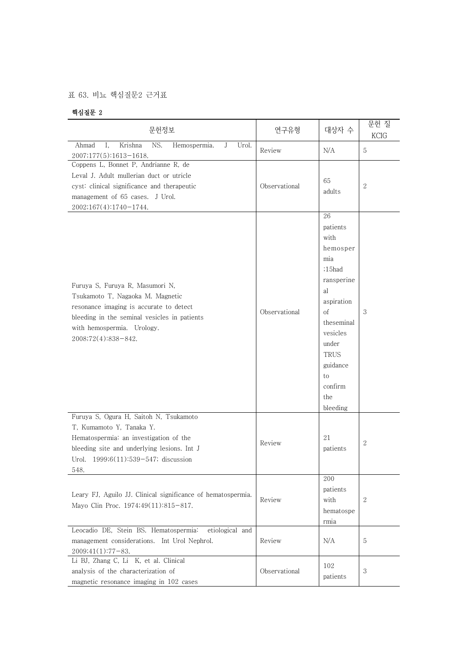## 표 63. 비뇨 핵심질문2 근거표

## 핵심질문 2

| 문헌정보                                                                                                                                                                                                                | 연구유형          | 대상자 수                                                                                                                                                                                  | 문헌 질<br>KCIG   |
|---------------------------------------------------------------------------------------------------------------------------------------------------------------------------------------------------------------------|---------------|----------------------------------------------------------------------------------------------------------------------------------------------------------------------------------------|----------------|
| Krishna<br>NS.<br>Ahmad<br>Ι.<br>J<br>Urol.<br>Hemospermia.<br>2007;177(5):1613-1618.                                                                                                                               | Review        | N/A                                                                                                                                                                                    | $\overline{5}$ |
| Coppens L, Bonnet P, Andrianne R, de<br>Leval J. Adult mullerian duct or utricle<br>cyst: clinical significance and therapeutic<br>management of 65 cases. J Urol.<br>2002;167(4):1740-1744.                        | Observational | 65<br>adults                                                                                                                                                                           | $\mathbf{2}$   |
| Furuya S, Furuya R, Masumori N,<br>Tsukamoto T, Nagaoka M. Magnetic<br>resonance imaging is accurate to detect<br>bleeding in the seminal vesicles in patients<br>with hemospermia. Urology.<br>2008;72(4):838-842. | Observational | 26<br>patients<br>with<br>hemosper<br>mia<br>;15had<br>ransperine<br>al<br>aspiration<br>οf<br>theseminal<br>vesicles<br>under<br>TRUS<br>guidance<br>to<br>confirm<br>the<br>bleeding | 3              |
| Furuya S, Ogura H, Saitoh N, Tsukamoto<br>T, Kumamoto Y, Tanaka Y.<br>Hematospermia: an investigation of the<br>bleeding site and underlying lesions. Int J<br>Urol. 1999;6(11):539-547; discussion<br>548.         | Review        | 21<br>patients                                                                                                                                                                         | $\mathbf{2}$   |
| Leary FJ, Aguilo JJ. Clinical significance of hematospermia.<br>Mayo Clin Proc. 1974;49(11):815-817.                                                                                                                | Review        | 200<br>patients<br>with<br>hematospe<br>rmia                                                                                                                                           | $\sqrt{2}$     |
| Leocadio DE, Stein BS. Hematospermia:<br>etiological and<br>management considerations. Int Urol Nephrol.<br>$2009;41(1):77-83.$                                                                                     | Review        | N/A                                                                                                                                                                                    | 5              |
| Li BJ, Zhang C, Li K, et al. Clinical<br>analysis of the characterization of<br>magnetic resonance imaging in 102 cases                                                                                             | Observational | 102<br>patients                                                                                                                                                                        | 3              |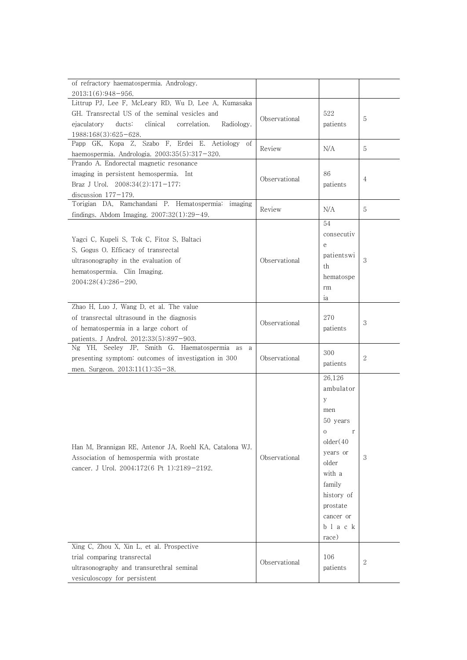| of refractory haematospermia. Andrology.                                                            |               |               |                |
|-----------------------------------------------------------------------------------------------------|---------------|---------------|----------------|
| 2013;1(6):948-956.                                                                                  |               |               |                |
| Littrup PJ, Lee F, McLeary RD, Wu D, Lee A, Kumasaka                                                |               |               |                |
| GH. Transrectal US of the seminal vesicles and                                                      | Observational | 522           | 5              |
| clinical<br>correlation.<br>Radiology.<br>ejaculatory<br>$ducts$ :                                  |               | patients      |                |
| $1988;168(3):625-628.$<br>Papp GK, Kopa Z, Szabo F, Erdei E. Aetiology of                           |               |               |                |
| haemospermia. Andrologia. 2003;35(5):317-320.                                                       | Review        | N/A           | 5              |
| Prando A. Endorectal magnetic resonance                                                             |               |               |                |
| imaging in persistent hemospermia. Int                                                              |               | 86            |                |
| Braz J Urol. $2008;34(2):171-177;$                                                                  | Observational | patients      | $\overline{4}$ |
| discussion $177-179$ .                                                                              |               |               |                |
| Torigian DA, Ramchandani P. Hematospermia: imaging                                                  | Review        | N/A           | 5              |
| findings. Abdom Imaging. $2007;32(1):29-49$ .                                                       |               |               |                |
|                                                                                                     |               | 54            |                |
| Yagci C, Kupeli S, Tok C, Fitoz S, Baltaci                                                          |               | consecutiv    |                |
| S. Gogus O. Efficacy of transrectal                                                                 |               | e             |                |
| ultrasonography in the evaluation of                                                                | Observational | patientswi    | 3              |
| hematospermia. Clin Imaging.                                                                        |               | th            |                |
| $2004;28(4):286-290.$                                                                               |               | hematospe     |                |
|                                                                                                     |               | rm            |                |
|                                                                                                     |               | ia            |                |
| Zhao H, Luo J, Wang D, et al. The value                                                             |               | 270           |                |
| of transrectal ultrasound in the diagnosis                                                          | Observational |               | 3              |
| of hematospermia in a large cohort of                                                               |               | patients      |                |
| patients. J Androl. 2012;33(5):897-903.<br>Ng YH, Seeley JP, Smith G. Haematospermia as a           |               |               |                |
| presenting symptom: outcomes of investigation in 300                                                | Observational | 300           | 2              |
| men. Surgeon. 2013;11(1):35-38.                                                                     |               | patients      |                |
|                                                                                                     |               | 26,126        |                |
|                                                                                                     |               | ambulator     |                |
|                                                                                                     |               | V             |                |
|                                                                                                     |               | men           |                |
|                                                                                                     |               | 50 years      |                |
|                                                                                                     |               | $\rm{O}$<br>r |                |
|                                                                                                     |               | older(40)     |                |
| Han M, Brannigan RE, Antenor JA, Roehl KA, Catalona WJ.<br>Association of hemospermia with prostate | Observational | years or      | 3              |
| cancer. J Urol. 2004;172(6 Pt 1):2189-2192.                                                         |               | older         |                |
|                                                                                                     |               | with a        |                |
|                                                                                                     |               | family        |                |
|                                                                                                     |               | history of    |                |
|                                                                                                     |               | prostate      |                |
|                                                                                                     |               | cancer or     |                |
|                                                                                                     |               | black         |                |
|                                                                                                     |               | race)         |                |
| Xing C, Zhou X, Xin L, et al. Prospective                                                           |               |               |                |
| trial comparing transrectal                                                                         | Observational | 106           | 2              |
| ultrasonography and transurethral seminal                                                           |               | patients      |                |
| vesiculoscopy for persistent                                                                        |               |               |                |